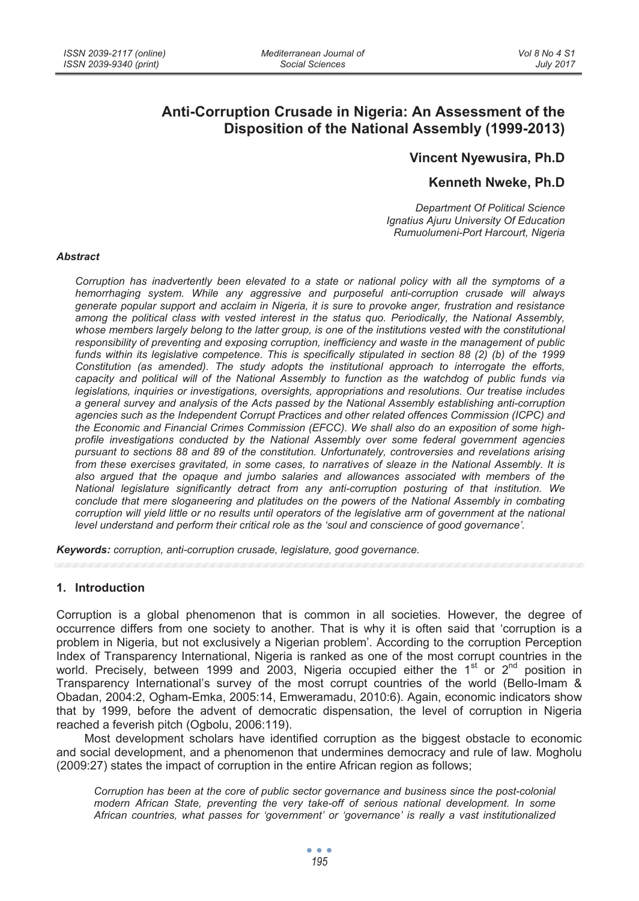# **Anti-Corruption Crusade in Nigeria: An Assessment of the Disposition of the National Assembly (1999-2013)**

## **Vincent Nyewusira, Ph.D**

# **Kenneth Nweke, Ph.D**

*Department Of Political Science Ignatius Ajuru University Of Education Rumuolumeni-Port Harcourt, Nigeria* 

#### *Abstract*

*Corruption has inadvertently been elevated to a state or national policy with all the symptoms of a hemorrhaging system. While any aggressive and purposeful anti-corruption crusade will always generate popular support and acclaim in Nigeria, it is sure to provoke anger, frustration and resistance among the political class with vested interest in the status quo. Periodically, the National Assembly, whose members largely belong to the latter group, is one of the institutions vested with the constitutional responsibility of preventing and exposing corruption, inefficiency and waste in the management of public funds within its legislative competence. This is specifically stipulated in section 88 (2) (b) of the 1999 Constitution (as amended). The study adopts the institutional approach to interrogate the efforts, capacity and political will of the National Assembly to function as the watchdog of public funds via legislations, inquiries or investigations, oversights, appropriations and resolutions. Our treatise includes a general survey and analysis of the Acts passed by the National Assembly establishing anti-corruption agencies such as the Independent Corrupt Practices and other related offences Commission (ICPC) and the Economic and Financial Crimes Commission (EFCC). We shall also do an exposition of some highprofile investigations conducted by the National Assembly over some federal government agencies pursuant to sections 88 and 89 of the constitution. Unfortunately, controversies and revelations arising from these exercises gravitated, in some cases, to narratives of sleaze in the National Assembly. It is also argued that the opaque and jumbo salaries and allowances associated with members of the National legislature significantly detract from any anti-corruption posturing of that institution. We conclude that mere sloganeering and platitudes on the powers of the National Assembly in combating corruption will yield little or no results until operators of the legislative arm of government at the national level understand and perform their critical role as the 'soul and conscience of good governance'.* 

*Keywords: corruption, anti-corruption crusade, legislature, good governance.* 

#### **1. Introduction**

Corruption is a global phenomenon that is common in all societies. However, the degree of occurrence differs from one society to another. That is why it is often said that 'corruption is a problem in Nigeria, but not exclusively a Nigerian problem'. According to the corruption Perception Index of Transparency International, Nigeria is ranked as one of the most corrupt countries in the world. Precisely, between 1999 and 2003, Nigeria occupied either the 1<sup>st</sup> or  $2<sup>nd</sup>$  position in Transparency International's survey of the most corrupt countries of the world (Bello-Imam & Obadan, 2004:2, Ogham-Emka, 2005:14, Emweramadu, 2010:6). Again, economic indicators show that by 1999, before the advent of democratic dispensation, the level of corruption in Nigeria reached a feverish pitch (Ogbolu, 2006:119).

Most development scholars have identified corruption as the biggest obstacle to economic and social development, and a phenomenon that undermines democracy and rule of law. Mogholu (2009:27) states the impact of corruption in the entire African region as follows;

*Corruption has been at the core of public sector governance and business since the post-colonial modern African State, preventing the very take-off of serious national development. In some African countries, what passes for 'government' or 'governance' is really a vast institutionalized*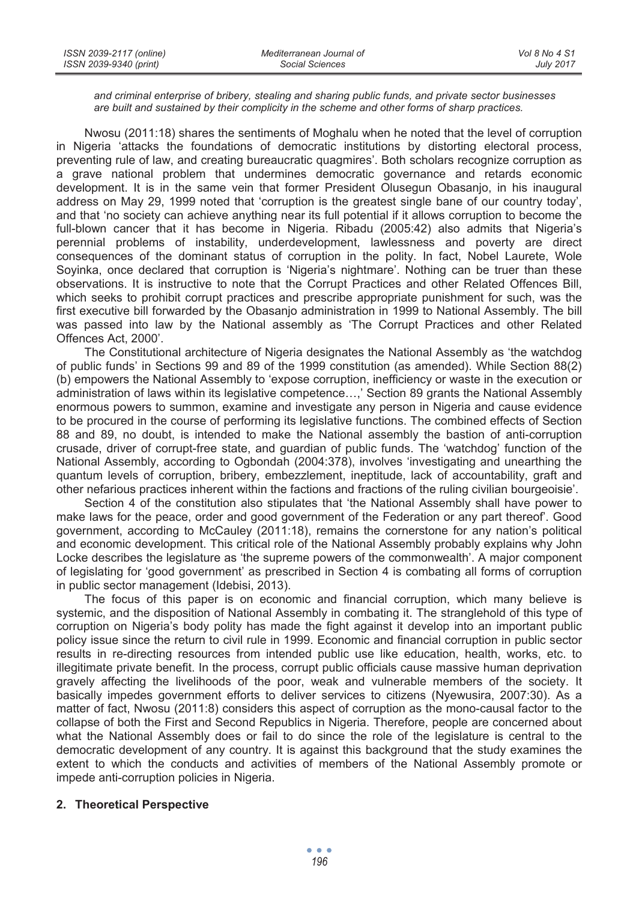#### *and criminal enterprise of bribery, stealing and sharing public funds, and private sector businesses are built and sustained by their complicity in the scheme and other forms of sharp practices.*

Nwosu (2011:18) shares the sentiments of Moghalu when he noted that the level of corruption in Nigeria 'attacks the foundations of democratic institutions by distorting electoral process, preventing rule of law, and creating bureaucratic quagmires'. Both scholars recognize corruption as a grave national problem that undermines democratic governance and retards economic development. It is in the same vein that former President Olusegun Obasanjo, in his inaugural address on May 29, 1999 noted that 'corruption is the greatest single bane of our country today', and that 'no society can achieve anything near its full potential if it allows corruption to become the full-blown cancer that it has become in Nigeria. Ribadu (2005:42) also admits that Nigeria's perennial problems of instability, underdevelopment, lawlessness and poverty are direct consequences of the dominant status of corruption in the polity. In fact, Nobel Laurete, Wole Soyinka, once declared that corruption is 'Nigeria's nightmare'. Nothing can be truer than these observations. It is instructive to note that the Corrupt Practices and other Related Offences Bill, which seeks to prohibit corrupt practices and prescribe appropriate punishment for such, was the first executive bill forwarded by the Obasanjo administration in 1999 to National Assembly. The bill was passed into law by the National assembly as 'The Corrupt Practices and other Related Offences Act, 2000'.

The Constitutional architecture of Nigeria designates the National Assembly as 'the watchdog of public funds' in Sections 99 and 89 of the 1999 constitution (as amended). While Section 88(2) (b) empowers the National Assembly to 'expose corruption, inefficiency or waste in the execution or administration of laws within its legislative competence…,' Section 89 grants the National Assembly enormous powers to summon, examine and investigate any person in Nigeria and cause evidence to be procured in the course of performing its legislative functions. The combined effects of Section 88 and 89, no doubt, is intended to make the National assembly the bastion of anti-corruption crusade, driver of corrupt-free state, and guardian of public funds. The 'watchdog' function of the National Assembly, according to Ogbondah (2004:378), involves 'investigating and unearthing the quantum levels of corruption, bribery, embezzlement, ineptitude, lack of accountability, graft and other nefarious practices inherent within the factions and fractions of the ruling civilian bourgeoisie'.

Section 4 of the constitution also stipulates that 'the National Assembly shall have power to make laws for the peace, order and good government of the Federation or any part thereof'. Good government, according to McCauley (2011:18), remains the cornerstone for any nation's political and economic development. This critical role of the National Assembly probably explains why John Locke describes the legislature as 'the supreme powers of the commonwealth'. A major component of legislating for 'good government' as prescribed in Section 4 is combating all forms of corruption in public sector management (Idebisi, 2013).

The focus of this paper is on economic and financial corruption, which many believe is systemic, and the disposition of National Assembly in combating it. The stranglehold of this type of corruption on Nigeria's body polity has made the fight against it develop into an important public policy issue since the return to civil rule in 1999. Economic and financial corruption in public sector results in re-directing resources from intended public use like education, health, works, etc. to illegitimate private benefit. In the process, corrupt public officials cause massive human deprivation gravely affecting the livelihoods of the poor, weak and vulnerable members of the society. It basically impedes government efforts to deliver services to citizens (Nyewusira, 2007:30). As a matter of fact, Nwosu (2011:8) considers this aspect of corruption as the mono-causal factor to the collapse of both the First and Second Republics in Nigeria. Therefore, people are concerned about what the National Assembly does or fail to do since the role of the legislature is central to the democratic development of any country. It is against this background that the study examines the extent to which the conducts and activities of members of the National Assembly promote or impede anti-corruption policies in Nigeria.

#### **2. Theoretical Perspective**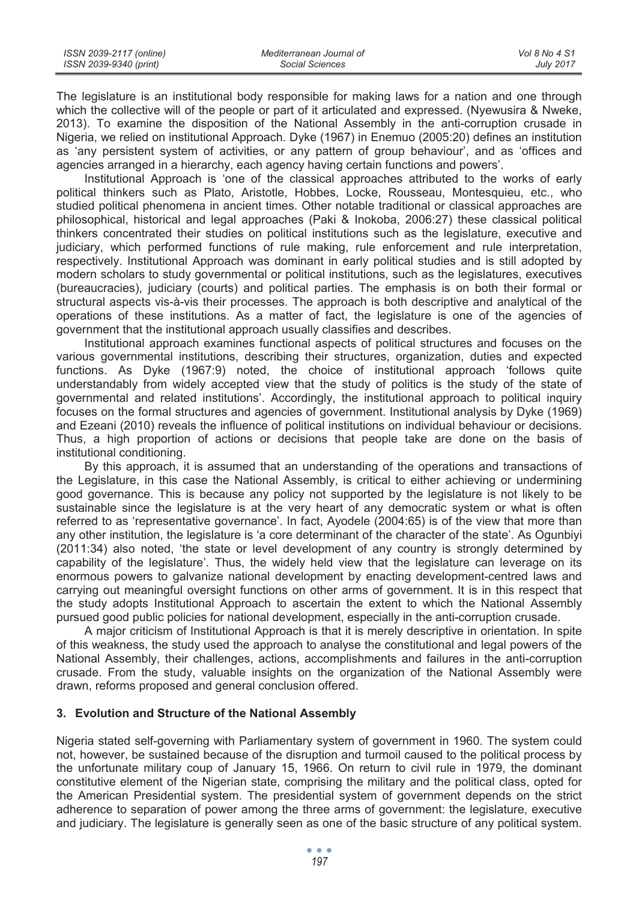| ISSN 2039-2117 (online) | Mediterranean Journal of | Vol 8 No 4 S1    |
|-------------------------|--------------------------|------------------|
| ISSN 2039-9340 (print)  | Social Sciences          | <b>July 2017</b> |

The legislature is an institutional body responsible for making laws for a nation and one through which the collective will of the people or part of it articulated and expressed. (Nyewusira & Nweke, 2013). To examine the disposition of the National Assembly in the anti-corruption crusade in Nigeria, we relied on institutional Approach. Dyke (1967) in Enemuo (2005:20) defines an institution as 'any persistent system of activities, or any pattern of group behaviour', and as 'offices and agencies arranged in a hierarchy, each agency having certain functions and powers'.

Institutional Approach is 'one of the classical approaches attributed to the works of early political thinkers such as Plato, Aristotle, Hobbes, Locke, Rousseau, Montesquieu, etc., who studied political phenomena in ancient times. Other notable traditional or classical approaches are philosophical, historical and legal approaches (Paki & Inokoba, 2006:27) these classical political thinkers concentrated their studies on political institutions such as the legislature, executive and judiciary, which performed functions of rule making, rule enforcement and rule interpretation, respectively. Institutional Approach was dominant in early political studies and is still adopted by modern scholars to study governmental or political institutions, such as the legislatures, executives (bureaucracies), judiciary (courts) and political parties. The emphasis is on both their formal or structural aspects vis-à-vis their processes. The approach is both descriptive and analytical of the operations of these institutions. As a matter of fact, the legislature is one of the agencies of government that the institutional approach usually classifies and describes.

Institutional approach examines functional aspects of political structures and focuses on the various governmental institutions, describing their structures, organization, duties and expected functions. As Dyke (1967:9) noted, the choice of institutional approach 'follows quite understandably from widely accepted view that the study of politics is the study of the state of governmental and related institutions'. Accordingly, the institutional approach to political inquiry focuses on the formal structures and agencies of government. Institutional analysis by Dyke (1969) and Ezeani (2010) reveals the influence of political institutions on individual behaviour or decisions. Thus, a high proportion of actions or decisions that people take are done on the basis of institutional conditioning.

By this approach, it is assumed that an understanding of the operations and transactions of the Legislature, in this case the National Assembly, is critical to either achieving or undermining good governance. This is because any policy not supported by the legislature is not likely to be sustainable since the legislature is at the very heart of any democratic system or what is often referred to as 'representative governance'. In fact, Ayodele (2004:65) is of the view that more than any other institution, the legislature is 'a core determinant of the character of the state'. As Ogunbiyi (2011:34) also noted, 'the state or level development of any country is strongly determined by capability of the legislature'. Thus, the widely held view that the legislature can leverage on its enormous powers to galvanize national development by enacting development-centred laws and carrying out meaningful oversight functions on other arms of government. It is in this respect that the study adopts Institutional Approach to ascertain the extent to which the National Assembly pursued good public policies for national development, especially in the anti-corruption crusade.

A major criticism of Institutional Approach is that it is merely descriptive in orientation. In spite of this weakness, the study used the approach to analyse the constitutional and legal powers of the National Assembly, their challenges, actions, accomplishments and failures in the anti-corruption crusade. From the study, valuable insights on the organization of the National Assembly were drawn, reforms proposed and general conclusion offered.

#### **3. Evolution and Structure of the National Assembly**

Nigeria stated self-governing with Parliamentary system of government in 1960. The system could not, however, be sustained because of the disruption and turmoil caused to the political process by the unfortunate military coup of January 15, 1966. On return to civil rule in 1979, the dominant constitutive element of the Nigerian state, comprising the military and the political class, opted for the American Presidential system. The presidential system of government depends on the strict adherence to separation of power among the three arms of government: the legislature, executive and judiciary. The legislature is generally seen as one of the basic structure of any political system.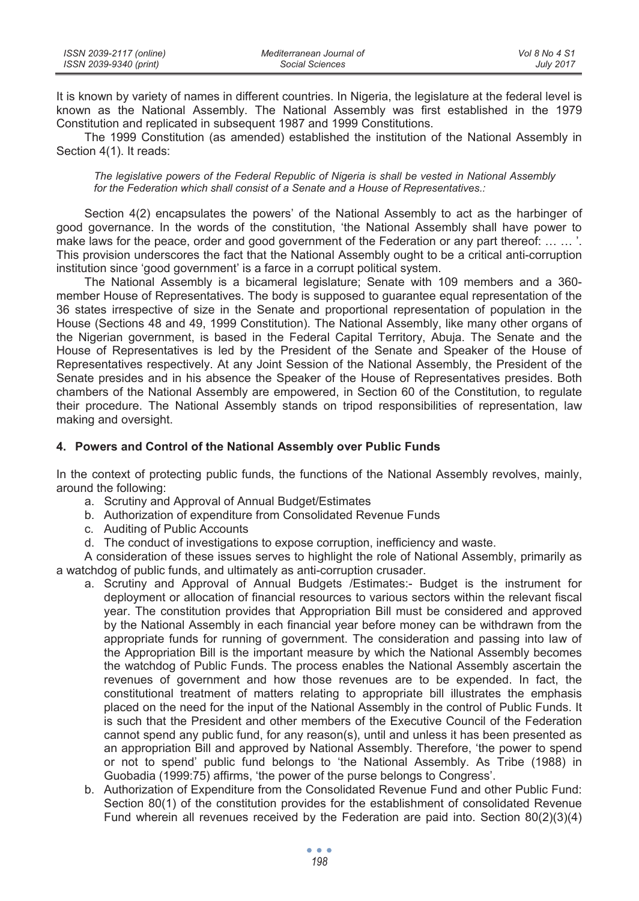| ISSN 2039-2117 (online) | Mediterranean Journal of | Vol 8 No 4 S1    |
|-------------------------|--------------------------|------------------|
| ISSN 2039-9340 (print)  | Social Sciences          | <b>July 2017</b> |

It is known by variety of names in different countries. In Nigeria, the legislature at the federal level is known as the National Assembly. The National Assembly was first established in the 1979 Constitution and replicated in subsequent 1987 and 1999 Constitutions.

The 1999 Constitution (as amended) established the institution of the National Assembly in Section 4(1). It reads:

*The legislative powers of the Federal Republic of Nigeria is shall be vested in National Assembly for the Federation which shall consist of a Senate and a House of Representatives.:* 

Section 4(2) encapsulates the powers' of the National Assembly to act as the harbinger of good governance. In the words of the constitution, 'the National Assembly shall have power to make laws for the peace, order and good government of the Federation or any part thereof: ... ... '. This provision underscores the fact that the National Assembly ought to be a critical anti-corruption institution since 'good government' is a farce in a corrupt political system.

The National Assembly is a bicameral legislature; Senate with 109 members and a 360 member House of Representatives. The body is supposed to guarantee equal representation of the 36 states irrespective of size in the Senate and proportional representation of population in the House (Sections 48 and 49, 1999 Constitution). The National Assembly, like many other organs of the Nigerian government, is based in the Federal Capital Territory, Abuja. The Senate and the House of Representatives is led by the President of the Senate and Speaker of the House of Representatives respectively. At any Joint Session of the National Assembly, the President of the Senate presides and in his absence the Speaker of the House of Representatives presides. Both chambers of the National Assembly are empowered, in Section 60 of the Constitution, to regulate their procedure. The National Assembly stands on tripod responsibilities of representation, law making and oversight.

#### **4. Powers and Control of the National Assembly over Public Funds**

In the context of protecting public funds, the functions of the National Assembly revolves, mainly, around the following:

- a. Scrutiny and Approval of Annual Budget/Estimates
- b. Authorization of expenditure from Consolidated Revenue Funds
- c. Auditing of Public Accounts
- d. The conduct of investigations to expose corruption, inefficiency and waste.

A consideration of these issues serves to highlight the role of National Assembly, primarily as a watchdog of public funds, and ultimately as anti-corruption crusader.

- a. Scrutiny and Approval of Annual Budgets /Estimates:- Budget is the instrument for deployment or allocation of financial resources to various sectors within the relevant fiscal year. The constitution provides that Appropriation Bill must be considered and approved by the National Assembly in each financial year before money can be withdrawn from the appropriate funds for running of government. The consideration and passing into law of the Appropriation Bill is the important measure by which the National Assembly becomes the watchdog of Public Funds. The process enables the National Assembly ascertain the revenues of government and how those revenues are to be expended. In fact, the constitutional treatment of matters relating to appropriate bill illustrates the emphasis placed on the need for the input of the National Assembly in the control of Public Funds. It is such that the President and other members of the Executive Council of the Federation cannot spend any public fund, for any reason(s), until and unless it has been presented as an appropriation Bill and approved by National Assembly. Therefore, 'the power to spend or not to spend' public fund belongs to 'the National Assembly. As Tribe (1988) in Guobadia (1999:75) affirms, 'the power of the purse belongs to Congress'.
- b. Authorization of Expenditure from the Consolidated Revenue Fund and other Public Fund: Section 80(1) of the constitution provides for the establishment of consolidated Revenue Fund wherein all revenues received by the Federation are paid into. Section 80(2)(3)(4)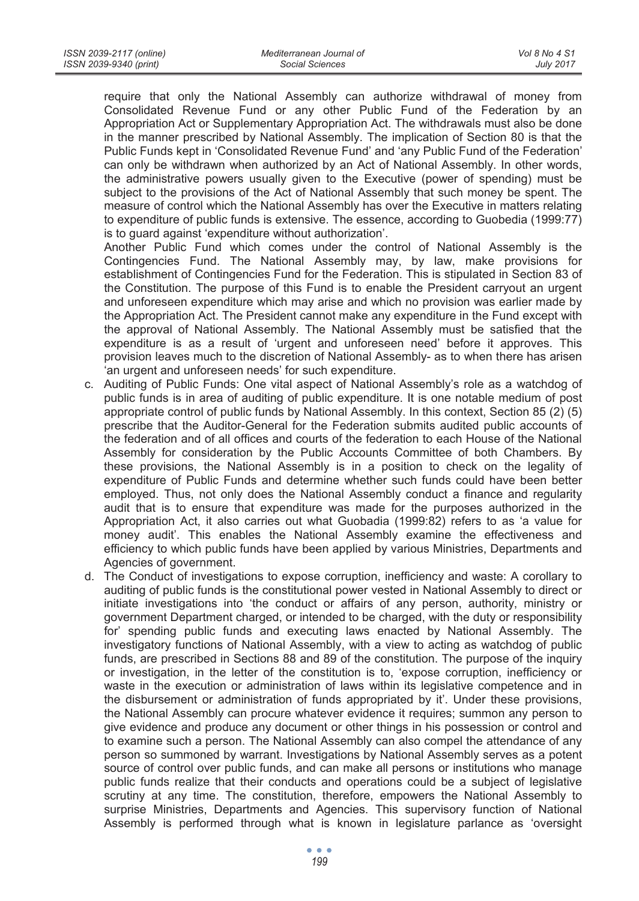require that only the National Assembly can authorize withdrawal of money from Consolidated Revenue Fund or any other Public Fund of the Federation by an Appropriation Act or Supplementary Appropriation Act. The withdrawals must also be done in the manner prescribed by National Assembly. The implication of Section 80 is that the Public Funds kept in 'Consolidated Revenue Fund' and 'any Public Fund of the Federation' can only be withdrawn when authorized by an Act of National Assembly. In other words, the administrative powers usually given to the Executive (power of spending) must be subject to the provisions of the Act of National Assembly that such money be spent. The measure of control which the National Assembly has over the Executive in matters relating to expenditure of public funds is extensive. The essence, according to Guobedia (1999:77) is to guard against 'expenditure without authorization'.

Another Public Fund which comes under the control of National Assembly is the Contingencies Fund. The National Assembly may, by law, make provisions for establishment of Contingencies Fund for the Federation. This is stipulated in Section 83 of the Constitution. The purpose of this Fund is to enable the President carryout an urgent and unforeseen expenditure which may arise and which no provision was earlier made by the Appropriation Act. The President cannot make any expenditure in the Fund except with the approval of National Assembly. The National Assembly must be satisfied that the expenditure is as a result of 'urgent and unforeseen need' before it approves. This provision leaves much to the discretion of National Assembly- as to when there has arisen 'an urgent and unforeseen needs' for such expenditure.

- c. Auditing of Public Funds: One vital aspect of National Assembly's role as a watchdog of public funds is in area of auditing of public expenditure. It is one notable medium of post appropriate control of public funds by National Assembly. In this context, Section 85 (2) (5) prescribe that the Auditor-General for the Federation submits audited public accounts of the federation and of all offices and courts of the federation to each House of the National Assembly for consideration by the Public Accounts Committee of both Chambers. By these provisions, the National Assembly is in a position to check on the legality of expenditure of Public Funds and determine whether such funds could have been better employed. Thus, not only does the National Assembly conduct a finance and regularity audit that is to ensure that expenditure was made for the purposes authorized in the Appropriation Act, it also carries out what Guobadia (1999:82) refers to as 'a value for money audit'. This enables the National Assembly examine the effectiveness and efficiency to which public funds have been applied by various Ministries, Departments and Agencies of government.
- d. The Conduct of investigations to expose corruption, inefficiency and waste: A corollary to auditing of public funds is the constitutional power vested in National Assembly to direct or initiate investigations into 'the conduct or affairs of any person, authority, ministry or government Department charged, or intended to be charged, with the duty or responsibility for' spending public funds and executing laws enacted by National Assembly. The investigatory functions of National Assembly, with a view to acting as watchdog of public funds, are prescribed in Sections 88 and 89 of the constitution. The purpose of the inquiry or investigation, in the letter of the constitution is to, 'expose corruption, inefficiency or waste in the execution or administration of laws within its legislative competence and in the disbursement or administration of funds appropriated by it'. Under these provisions, the National Assembly can procure whatever evidence it requires; summon any person to give evidence and produce any document or other things in his possession or control and to examine such a person. The National Assembly can also compel the attendance of any person so summoned by warrant. Investigations by National Assembly serves as a potent source of control over public funds, and can make all persons or institutions who manage public funds realize that their conducts and operations could be a subject of legislative scrutiny at any time. The constitution, therefore, empowers the National Assembly to surprise Ministries, Departments and Agencies. This supervisory function of National Assembly is performed through what is known in legislature parlance as 'oversight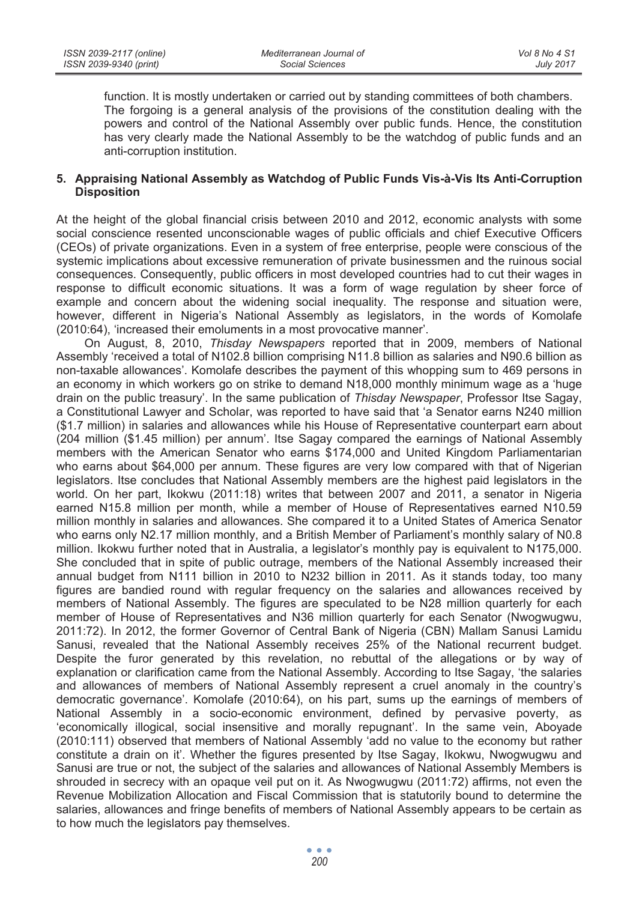function. It is mostly undertaken or carried out by standing committees of both chambers. The forgoing is a general analysis of the provisions of the constitution dealing with the powers and control of the National Assembly over public funds. Hence, the constitution has very clearly made the National Assembly to be the watchdog of public funds and an anti-corruption institution.

## **5. Appraising National Assembly as Watchdog of Public Funds Vis-à-Vis Its Anti-Corruption Disposition**

At the height of the global financial crisis between 2010 and 2012, economic analysts with some social conscience resented unconscionable wages of public officials and chief Executive Officers (CEOs) of private organizations. Even in a system of free enterprise, people were conscious of the systemic implications about excessive remuneration of private businessmen and the ruinous social consequences. Consequently, public officers in most developed countries had to cut their wages in response to difficult economic situations. It was a form of wage regulation by sheer force of example and concern about the widening social inequality. The response and situation were, however, different in Nigeria's National Assembly as legislators, in the words of Komolafe (2010:64), 'increased their emoluments in a most provocative manner'.

On August, 8, 2010, *Thisday Newspapers* reported that in 2009, members of National Assembly 'received a total of N102.8 billion comprising N11.8 billion as salaries and N90.6 billion as non-taxable allowances'. Komolafe describes the payment of this whopping sum to 469 persons in an economy in which workers go on strike to demand N18,000 monthly minimum wage as a 'huge drain on the public treasury'. In the same publication of *Thisday Newspaper*, Professor Itse Sagay, a Constitutional Lawyer and Scholar, was reported to have said that 'a Senator earns N240 million (\$1.7 million) in salaries and allowances while his House of Representative counterpart earn about (204 million (\$1.45 million) per annum'. Itse Sagay compared the earnings of National Assembly members with the American Senator who earns \$174,000 and United Kingdom Parliamentarian who earns about \$64,000 per annum. These figures are very low compared with that of Nigerian legislators. Itse concludes that National Assembly members are the highest paid legislators in the world. On her part, Ikokwu (2011:18) writes that between 2007 and 2011, a senator in Nigeria earned N15.8 million per month, while a member of House of Representatives earned N10.59 million monthly in salaries and allowances. She compared it to a United States of America Senator who earns only N2.17 million monthly, and a British Member of Parliament's monthly salary of N0.8 million. Ikokwu further noted that in Australia, a legislator's monthly pay is equivalent to N175,000. She concluded that in spite of public outrage, members of the National Assembly increased their annual budget from N111 billion in 2010 to N232 billion in 2011. As it stands today, too many figures are bandied round with regular frequency on the salaries and allowances received by members of National Assembly. The figures are speculated to be N28 million quarterly for each member of House of Representatives and N36 million quarterly for each Senator (Nwogwugwu, 2011:72). In 2012, the former Governor of Central Bank of Nigeria (CBN) Mallam Sanusi Lamidu Sanusi, revealed that the National Assembly receives 25% of the National recurrent budget. Despite the furor generated by this revelation, no rebuttal of the allegations or by way of explanation or clarification came from the National Assembly. According to Itse Sagay, 'the salaries and allowances of members of National Assembly represent a cruel anomaly in the country's democratic governance'. Komolafe (2010:64), on his part, sums up the earnings of members of National Assembly in a socio-economic environment, defined by pervasive poverty, as 'economically illogical, social insensitive and morally repugnant'. In the same vein, Aboyade (2010:111) observed that members of National Assembly 'add no value to the economy but rather constitute a drain on it'. Whether the figures presented by Itse Sagay, Ikokwu, Nwogwugwu and Sanusi are true or not, the subject of the salaries and allowances of National Assembly Members is shrouded in secrecy with an opaque veil put on it. As Nwogwugwu (2011:72) affirms, not even the Revenue Mobilization Allocation and Fiscal Commission that is statutorily bound to determine the salaries, allowances and fringe benefits of members of National Assembly appears to be certain as to how much the legislators pay themselves.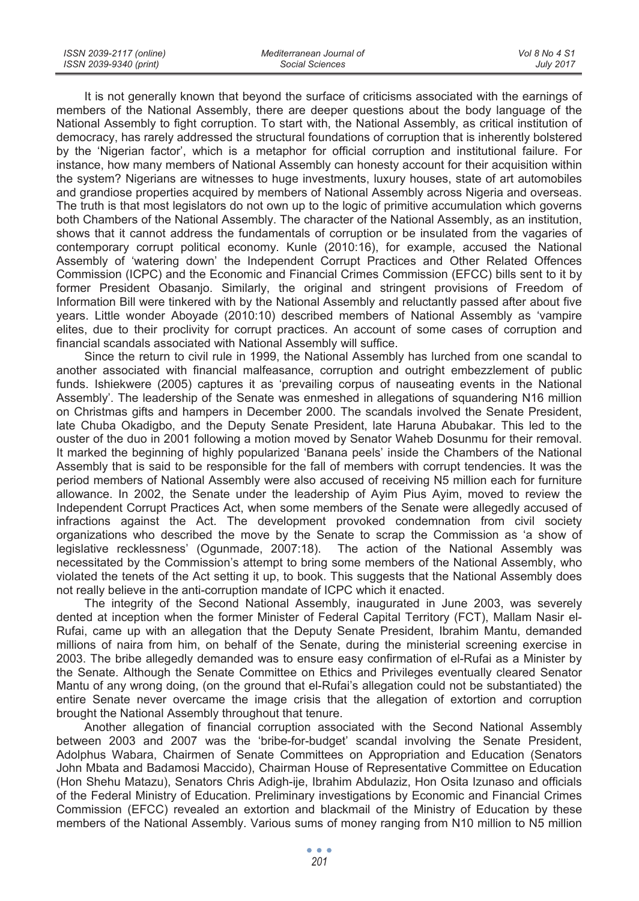| ISSN 2039-2117 (online) | Mediterranean Journal of | Vol 8 No 4 S1    |
|-------------------------|--------------------------|------------------|
| ISSN 2039-9340 (print)  | Social Sciences          | <b>July 2017</b> |

It is not generally known that beyond the surface of criticisms associated with the earnings of members of the National Assembly, there are deeper questions about the body language of the National Assembly to fight corruption. To start with, the National Assembly, as critical institution of democracy, has rarely addressed the structural foundations of corruption that is inherently bolstered by the 'Nigerian factor', which is a metaphor for official corruption and institutional failure. For instance, how many members of National Assembly can honesty account for their acquisition within the system? Nigerians are witnesses to huge investments, luxury houses, state of art automobiles and grandiose properties acquired by members of National Assembly across Nigeria and overseas. The truth is that most legislators do not own up to the logic of primitive accumulation which governs both Chambers of the National Assembly. The character of the National Assembly, as an institution, shows that it cannot address the fundamentals of corruption or be insulated from the vagaries of contemporary corrupt political economy. Kunle (2010:16), for example, accused the National Assembly of 'watering down' the Independent Corrupt Practices and Other Related Offences Commission (ICPC) and the Economic and Financial Crimes Commission (EFCC) bills sent to it by former President Obasanjo. Similarly, the original and stringent provisions of Freedom of Information Bill were tinkered with by the National Assembly and reluctantly passed after about five years. Little wonder Aboyade (2010:10) described members of National Assembly as 'vampire elites, due to their proclivity for corrupt practices. An account of some cases of corruption and financial scandals associated with National Assembly will suffice.

Since the return to civil rule in 1999, the National Assembly has lurched from one scandal to another associated with financial malfeasance, corruption and outright embezzlement of public funds. Ishiekwere (2005) captures it as 'prevailing corpus of nauseating events in the National Assembly'. The leadership of the Senate was enmeshed in allegations of squandering N16 million on Christmas gifts and hampers in December 2000. The scandals involved the Senate President, late Chuba Okadigbo, and the Deputy Senate President, late Haruna Abubakar. This led to the ouster of the duo in 2001 following a motion moved by Senator Waheb Dosunmu for their removal. It marked the beginning of highly popularized 'Banana peels' inside the Chambers of the National Assembly that is said to be responsible for the fall of members with corrupt tendencies. It was the period members of National Assembly were also accused of receiving N5 million each for furniture allowance. In 2002, the Senate under the leadership of Ayim Pius Ayim, moved to review the Independent Corrupt Practices Act, when some members of the Senate were allegedly accused of infractions against the Act. The development provoked condemnation from civil society organizations who described the move by the Senate to scrap the Commission as 'a show of legislative recklessness' (Ogunmade, 2007:18). The action of the National Assembly was necessitated by the Commission's attempt to bring some members of the National Assembly, who violated the tenets of the Act setting it up, to book. This suggests that the National Assembly does not really believe in the anti-corruption mandate of ICPC which it enacted.

The integrity of the Second National Assembly, inaugurated in June 2003, was severely dented at inception when the former Minister of Federal Capital Territory (FCT), Mallam Nasir el-Rufai, came up with an allegation that the Deputy Senate President, Ibrahim Mantu, demanded millions of naira from him, on behalf of the Senate, during the ministerial screening exercise in 2003. The bribe allegedly demanded was to ensure easy confirmation of el-Rufai as a Minister by the Senate. Although the Senate Committee on Ethics and Privileges eventually cleared Senator Mantu of any wrong doing, (on the ground that el-Rufai's allegation could not be substantiated) the entire Senate never overcame the image crisis that the allegation of extortion and corruption brought the National Assembly throughout that tenure.

Another allegation of financial corruption associated with the Second National Assembly between 2003 and 2007 was the 'bribe-for-budget' scandal involving the Senate President, Adolphus Wabara, Chairmen of Senate Committees on Appropriation and Education (Senators John Mbata and Badamosi Maccido), Chairman House of Representative Committee on Education (Hon Shehu Matazu), Senators Chris Adigh-ije, Ibrahim Abdulaziz, Hon Osita Izunaso and officials of the Federal Ministry of Education. Preliminary investigations by Economic and Financial Crimes Commission (EFCC) revealed an extortion and blackmail of the Ministry of Education by these members of the National Assembly. Various sums of money ranging from N10 million to N5 million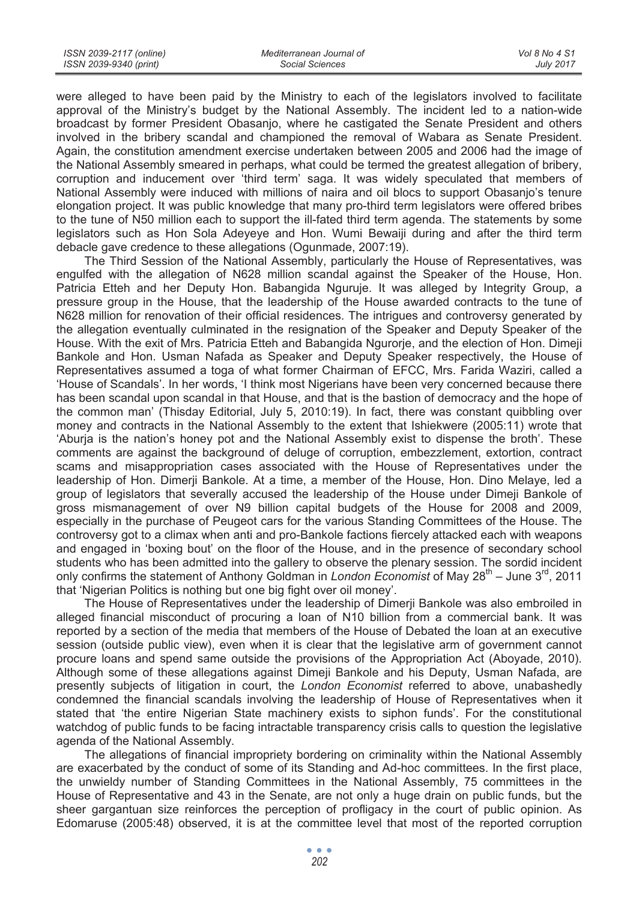were alleged to have been paid by the Ministry to each of the legislators involved to facilitate approval of the Ministry's budget by the National Assembly. The incident led to a nation-wide broadcast by former President Obasanjo, where he castigated the Senate President and others involved in the bribery scandal and championed the removal of Wabara as Senate President. Again, the constitution amendment exercise undertaken between 2005 and 2006 had the image of the National Assembly smeared in perhaps, what could be termed the greatest allegation of bribery, corruption and inducement over 'third term' saga. It was widely speculated that members of National Assembly were induced with millions of naira and oil blocs to support Obasanjo's tenure elongation project. It was public knowledge that many pro-third term legislators were offered bribes to the tune of N50 million each to support the ill-fated third term agenda. The statements by some legislators such as Hon Sola Adeyeye and Hon. Wumi Bewaiji during and after the third term debacle gave credence to these allegations (Ogunmade, 2007:19).

The Third Session of the National Assembly, particularly the House of Representatives, was engulfed with the allegation of N628 million scandal against the Speaker of the House, Hon. Patricia Etteh and her Deputy Hon. Babangida Nguruje. It was alleged by Integrity Group, a pressure group in the House, that the leadership of the House awarded contracts to the tune of N628 million for renovation of their official residences. The intrigues and controversy generated by the allegation eventually culminated in the resignation of the Speaker and Deputy Speaker of the House. With the exit of Mrs. Patricia Etteh and Babangida Ngurorje, and the election of Hon. Dimeji Bankole and Hon. Usman Nafada as Speaker and Deputy Speaker respectively, the House of Representatives assumed a toga of what former Chairman of EFCC, Mrs. Farida Waziri, called a 'House of Scandals'. In her words, 'I think most Nigerians have been very concerned because there has been scandal upon scandal in that House, and that is the bastion of democracy and the hope of the common man' (Thisday Editorial, July 5, 2010:19). In fact, there was constant quibbling over money and contracts in the National Assembly to the extent that Ishiekwere (2005:11) wrote that 'Aburja is the nation's honey pot and the National Assembly exist to dispense the broth'. These comments are against the background of deluge of corruption, embezzlement, extortion, contract scams and misappropriation cases associated with the House of Representatives under the leadership of Hon. Dimerji Bankole. At a time, a member of the House, Hon. Dino Melaye, led a group of legislators that severally accused the leadership of the House under Dimeji Bankole of gross mismanagement of over N9 billion capital budgets of the House for 2008 and 2009, especially in the purchase of Peugeot cars for the various Standing Committees of the House. The controversy got to a climax when anti and pro-Bankole factions fiercely attacked each with weapons and engaged in 'boxing bout' on the floor of the House, and in the presence of secondary school students who has been admitted into the gallery to observe the plenary session. The sordid incident only confirms the statement of Anthony Goldman in *London Economist* of May 28<sup>th</sup> – June 3<sup>rd</sup>, 2011 that 'Nigerian Politics is nothing but one big fight over oil money'.

The House of Representatives under the leadership of Dimerji Bankole was also embroiled in alleged financial misconduct of procuring a loan of N10 billion from a commercial bank. It was reported by a section of the media that members of the House of Debated the loan at an executive session (outside public view), even when it is clear that the legislative arm of government cannot procure loans and spend same outside the provisions of the Appropriation Act (Aboyade, 2010). Although some of these allegations against Dimeji Bankole and his Deputy, Usman Nafada, are presently subjects of litigation in court, the *London Economist* referred to above, unabashedly condemned the financial scandals involving the leadership of House of Representatives when it stated that 'the entire Nigerian State machinery exists to siphon funds'. For the constitutional watchdog of public funds to be facing intractable transparency crisis calls to question the legislative agenda of the National Assembly.

The allegations of financial impropriety bordering on criminality within the National Assembly are exacerbated by the conduct of some of its Standing and Ad-hoc committees. In the first place, the unwieldy number of Standing Committees in the National Assembly, 75 committees in the House of Representative and 43 in the Senate, are not only a huge drain on public funds, but the sheer gargantuan size reinforces the perception of profligacy in the court of public opinion. As Edomaruse (2005:48) observed, it is at the committee level that most of the reported corruption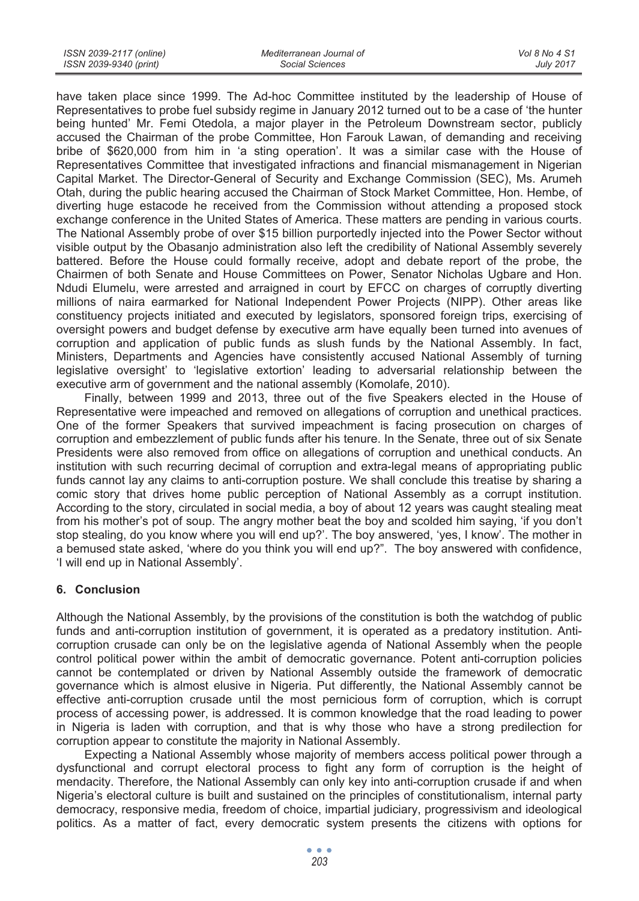| ISSN 2039-2117 (online) | Mediterranean Journal of | Vol 8 No 4 S1    |
|-------------------------|--------------------------|------------------|
| ISSN 2039-9340 (print)  | Social Sciences          | <b>July 2017</b> |

have taken place since 1999. The Ad-hoc Committee instituted by the leadership of House of Representatives to probe fuel subsidy regime in January 2012 turned out to be a case of 'the hunter being hunted' Mr. Femi Otedola, a major player in the Petroleum Downstream sector, publicly accused the Chairman of the probe Committee, Hon Farouk Lawan, of demanding and receiving bribe of \$620,000 from him in 'a sting operation'. It was a similar case with the House of Representatives Committee that investigated infractions and financial mismanagement in Nigerian Capital Market. The Director-General of Security and Exchange Commission (SEC), Ms. Arumeh Otah, during the public hearing accused the Chairman of Stock Market Committee, Hon. Hembe, of diverting huge estacode he received from the Commission without attending a proposed stock exchange conference in the United States of America. These matters are pending in various courts. The National Assembly probe of over \$15 billion purportedly injected into the Power Sector without visible output by the Obasanjo administration also left the credibility of National Assembly severely battered. Before the House could formally receive, adopt and debate report of the probe, the Chairmen of both Senate and House Committees on Power, Senator Nicholas Ugbare and Hon. Ndudi Elumelu, were arrested and arraigned in court by EFCC on charges of corruptly diverting millions of naira earmarked for National Independent Power Projects (NIPP). Other areas like constituency projects initiated and executed by legislators, sponsored foreign trips, exercising of oversight powers and budget defense by executive arm have equally been turned into avenues of corruption and application of public funds as slush funds by the National Assembly. In fact, Ministers, Departments and Agencies have consistently accused National Assembly of turning legislative oversight' to 'legislative extortion' leading to adversarial relationship between the executive arm of government and the national assembly (Komolafe, 2010).

Finally, between 1999 and 2013, three out of the five Speakers elected in the House of Representative were impeached and removed on allegations of corruption and unethical practices. One of the former Speakers that survived impeachment is facing prosecution on charges of corruption and embezzlement of public funds after his tenure. In the Senate, three out of six Senate Presidents were also removed from office on allegations of corruption and unethical conducts. An institution with such recurring decimal of corruption and extra-legal means of appropriating public funds cannot lay any claims to anti-corruption posture. We shall conclude this treatise by sharing a comic story that drives home public perception of National Assembly as a corrupt institution. According to the story, circulated in social media, a boy of about 12 years was caught stealing meat from his mother's pot of soup. The angry mother beat the boy and scolded him saying, 'if you don't stop stealing, do you know where you will end up?'. The boy answered, 'yes, I know'. The mother in a bemused state asked, 'where do you think you will end up?". The boy answered with confidence, 'I will end up in National Assembly'.

## **6. Conclusion**

Although the National Assembly, by the provisions of the constitution is both the watchdog of public funds and anti-corruption institution of government, it is operated as a predatory institution. Anticorruption crusade can only be on the legislative agenda of National Assembly when the people control political power within the ambit of democratic governance. Potent anti-corruption policies cannot be contemplated or driven by National Assembly outside the framework of democratic governance which is almost elusive in Nigeria. Put differently, the National Assembly cannot be effective anti-corruption crusade until the most pernicious form of corruption, which is corrupt process of accessing power, is addressed. It is common knowledge that the road leading to power in Nigeria is laden with corruption, and that is why those who have a strong predilection for corruption appear to constitute the majority in National Assembly.

Expecting a National Assembly whose majority of members access political power through a dysfunctional and corrupt electoral process to fight any form of corruption is the height of mendacity. Therefore, the National Assembly can only key into anti-corruption crusade if and when Nigeria's electoral culture is built and sustained on the principles of constitutionalism, internal party democracy, responsive media, freedom of choice, impartial judiciary, progressivism and ideological politics. As a matter of fact, every democratic system presents the citizens with options for